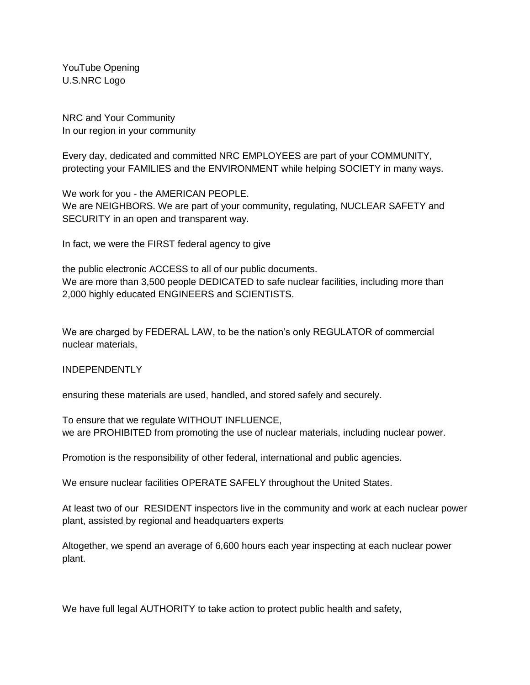YouTube Opening U.S.NRC Logo

NRC and Your Community In our region in your community

Every day, dedicated and committed NRC EMPLOYEES are part of your COMMUNITY, protecting your FAMILIES and the ENVIRONMENT while helping SOCIETY in many ways.

We work for you - the AMERICAN PEOPLE. We are NEIGHBORS. We are part of your community, regulating, NUCLEAR SAFETY and SECURITY in an open and transparent way.

In fact, we were the FIRST federal agency to give

the public electronic ACCESS to all of our public documents. We are more than 3,500 people DEDICATED to safe nuclear facilities, including more than 2,000 highly educated ENGINEERS and SCIENTISTS.

We are charged by FEDERAL LAW, to be the nation's only REGULATOR of commercial nuclear materials,

## INDEPENDENTLY

ensuring these materials are used, handled, and stored safely and securely.

To ensure that we regulate WITHOUT INFLUENCE, we are PROHIBITED from promoting the use of nuclear materials, including nuclear power.

Promotion is the responsibility of other federal, international and public agencies.

We ensure nuclear facilities OPERATE SAFELY throughout the United States.

At least two of our RESIDENT inspectors live in the community and work at each nuclear power plant, assisted by regional and headquarters experts

Altogether, we spend an average of 6,600 hours each year inspecting at each nuclear power plant.

We have full legal AUTHORITY to take action to protect public health and safety,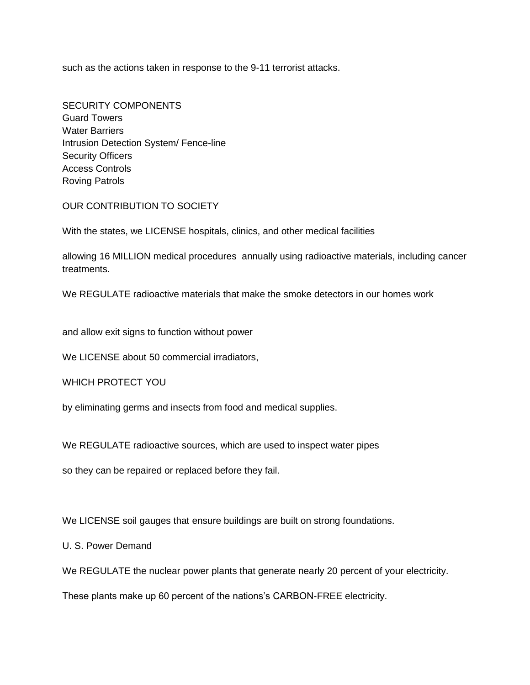such as the actions taken in response to the 9-11 terrorist attacks.

SECURITY COMPONENTS Guard Towers Water Barriers Intrusion Detection System/ Fence-line Security Officers Access Controls Roving Patrols

OUR CONTRIBUTION TO SOCIETY

With the states, we LICENSE hospitals, clinics, and other medical facilities

allowing 16 MILLION medical procedures annually using radioactive materials, including cancer treatments.

We REGULATE radioactive materials that make the smoke detectors in our homes work

and allow exit signs to function without power

We LICENSE about 50 commercial irradiators,

WHICH PROTECT YOU

by eliminating germs and insects from food and medical supplies.

We REGULATE radioactive sources, which are used to inspect water pipes

so they can be repaired or replaced before they fail.

We LICENSE soil gauges that ensure buildings are built on strong foundations.

U. S. Power Demand

We REGULATE the nuclear power plants that generate nearly 20 percent of your electricity.

These plants make up 60 percent of the nations's CARBON-FREE electricity.